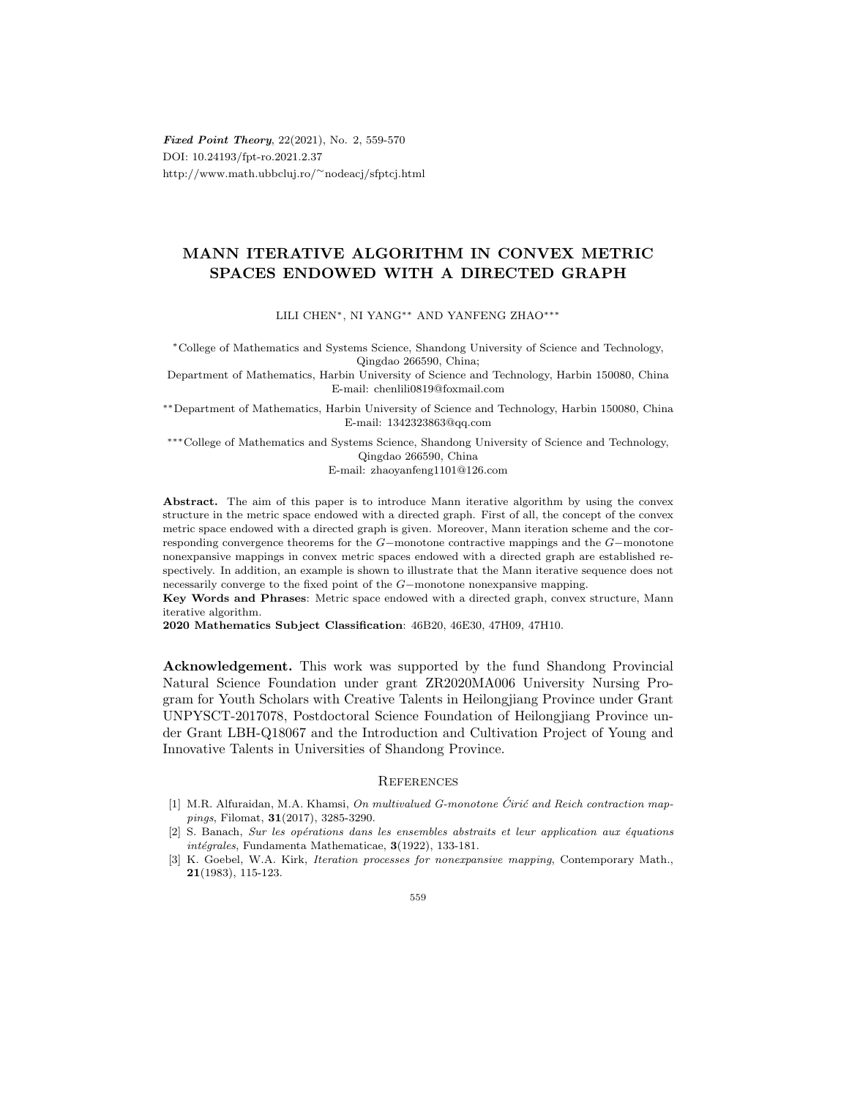Fixed Point Theory, 22(2021), No. 2, 559-570 DOI: 10.24193/fpt-ro.2021.2.37 http://www.math.ubbcluj.ro/∼nodeacj/sfptcj.html

## MANN ITERATIVE ALGORITHM IN CONVEX METRIC SPACES ENDOWED WITH A DIRECTED GRAPH

LILI CHEN∗, NI YANG∗∗ AND YANFENG ZHAO∗∗∗

<sup>∗</sup>College of Mathematics and Systems Science, Shandong University of Science and Technology, Qingdao 266590, China;

Department of Mathematics, Harbin University of Science and Technology, Harbin 150080, China E-mail: chenlili0819@foxmail.com

∗∗Department of Mathematics, Harbin University of Science and Technology, Harbin 150080, China E-mail: 1342323863@qq.com

∗∗∗College of Mathematics and Systems Science, Shandong University of Science and Technology, Qingdao 266590, China

E-mail: zhaoyanfeng1101@126.com

Abstract. The aim of this paper is to introduce Mann iterative algorithm by using the convex structure in the metric space endowed with a directed graph. First of all, the concept of the convex metric space endowed with a directed graph is given. Moreover, Mann iteration scheme and the corresponding convergence theorems for the G−monotone contractive mappings and the G−monotone nonexpansive mappings in convex metric spaces endowed with a directed graph are established respectively. In addition, an example is shown to illustrate that the Mann iterative sequence does not necessarily converge to the fixed point of the G−monotone nonexpansive mapping.

Key Words and Phrases: Metric space endowed with a directed graph, convex structure, Mann iterative algorithm.

2020 Mathematics Subject Classification: 46B20, 46E30, 47H09, 47H10.

Acknowledgement. This work was supported by the fund Shandong Provincial Natural Science Foundation under grant ZR2020MA006 University Nursing Program for Youth Scholars with Creative Talents in Heilongjiang Province under Grant UNPYSCT-2017078, Postdoctoral Science Foundation of Heilongjiang Province under Grant LBH-Q18067 and the Introduction and Cultivation Project of Young and Innovative Talents in Universities of Shandong Province.

## **REFERENCES**

- [1] M.R. Alfuraidan, M.A. Khamsi, On multivalued G-monotone Ćirić and Reich contraction mappings, Filomat, 31(2017), 3285-3290.
- [2] S. Banach, Sur les opérations dans les ensembles abstraits et leur application aux équations  $intégrales$ , Fundamenta Mathematicae,  $3(1922)$ , 133-181.
- [3] K. Goebel, W.A. Kirk, Iteration processes for nonexpansive mapping, Contemporary Math., 21(1983), 115-123.